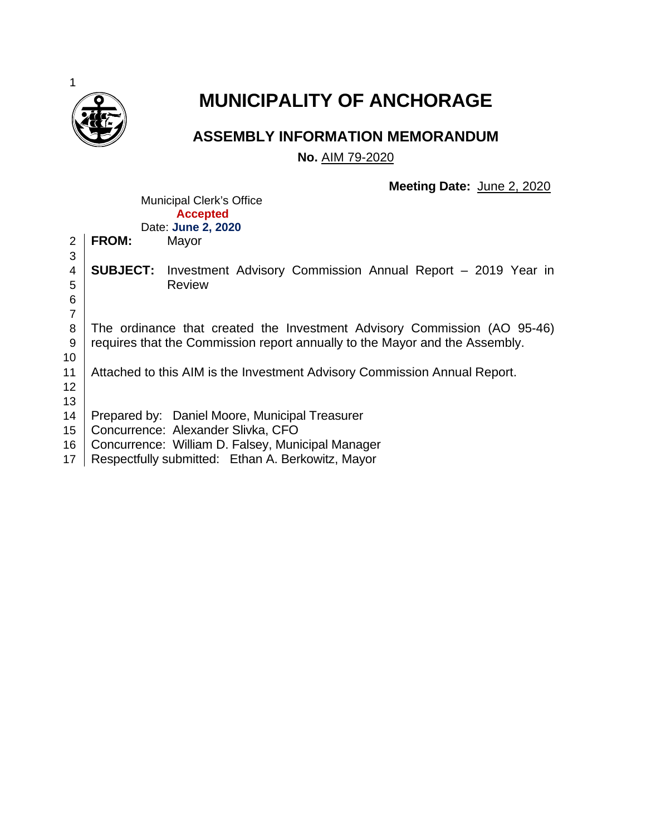

# **MUNICIPALITY OF ANCHORAGE**

# **ASSEMBLY INFORMATION MEMORANDUM**

**No.** AIM 79-2020

**Meeting Date:** June 2, 2020

|                |                                                                             | $\frac{38.10}{20.10}$ = $\frac{38.10}{20.10}$ = $\frac{38.10}{20.10}$                                                                                            |  |  |  |
|----------------|-----------------------------------------------------------------------------|------------------------------------------------------------------------------------------------------------------------------------------------------------------|--|--|--|
|                |                                                                             | <b>Municipal Clerk's Office</b>                                                                                                                                  |  |  |  |
|                |                                                                             | <b>Accepted</b>                                                                                                                                                  |  |  |  |
|                |                                                                             | Date: June 2, 2020                                                                                                                                               |  |  |  |
| $\overline{2}$ | <b>FROM:</b>                                                                | Mayor                                                                                                                                                            |  |  |  |
| 3              |                                                                             |                                                                                                                                                                  |  |  |  |
| 4              | <b>SUBJECT:</b>                                                             | Investment Advisory Commission Annual Report - 2019 Year in                                                                                                      |  |  |  |
| 5              |                                                                             | <b>Review</b>                                                                                                                                                    |  |  |  |
| 6              |                                                                             |                                                                                                                                                                  |  |  |  |
| $\overline{7}$ |                                                                             |                                                                                                                                                                  |  |  |  |
| 8              |                                                                             | The ordinance that created the Investment Advisory Commission (AO 95-46)                                                                                         |  |  |  |
| 9              | requires that the Commission report annually to the Mayor and the Assembly. |                                                                                                                                                                  |  |  |  |
| 10             |                                                                             |                                                                                                                                                                  |  |  |  |
| 11             |                                                                             | Attached to this AIM is the Investment Advisory Commission Annual Report.                                                                                        |  |  |  |
|                |                                                                             |                                                                                                                                                                  |  |  |  |
| 12             |                                                                             |                                                                                                                                                                  |  |  |  |
| 13             |                                                                             |                                                                                                                                                                  |  |  |  |
| 14             |                                                                             | Prepared by: Daniel Moore, Municipal Treasurer                                                                                                                   |  |  |  |
| 15             |                                                                             | Concurrence: Alexander Slivka, CFO                                                                                                                               |  |  |  |
| 16             |                                                                             | Concurrence: William D. Falsey, Municipal Manager                                                                                                                |  |  |  |
|                |                                                                             | $\mathbf{A} \cup \mathbf{B}$ and $\mathbf{B} \cup \mathbf{B}$ and $\mathbf{B} \cup \mathbf{B}$ and $\mathbf{B} \cup \mathbf{B}$ and $\mathbf{B} \cup \mathbf{B}$ |  |  |  |

17 | Respectfully submitted: Ethan A. Berkowitz, Mayor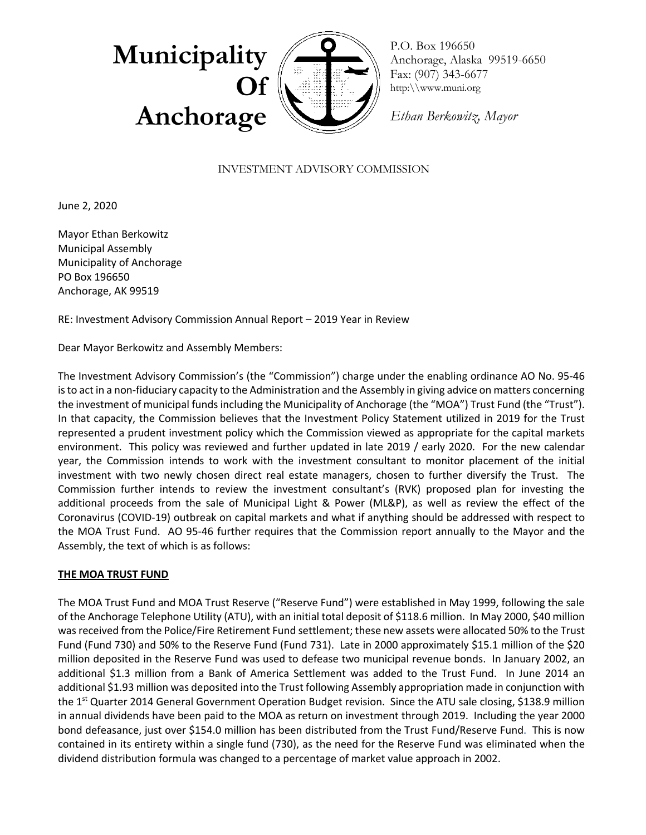

P.O. Box 196650 Anchorage, Alaska 99519-6650 Fax: (907) 343-6677 http:\\www.muni.org

*Ethan Berkowitz, Mayor*

# INVESTMENT ADVISORY COMMISSION

June 2, 2020

Mayor Ethan Berkowitz Municipal Assembly Municipality of Anchorage PO Box 196650 Anchorage, AK 99519

RE: Investment Advisory Commission Annual Report – 2019 Year in Review

Dear Mayor Berkowitz and Assembly Members:

The Investment Advisory Commission's (the "Commission") charge under the enabling ordinance AO No. 95-46 is to act in a non-fiduciary capacity to the Administration and the Assembly in giving advice on matters concerning the investment of municipal funds including the Municipality of Anchorage (the "MOA") Trust Fund (the "Trust"). In that capacity, the Commission believes that the Investment Policy Statement utilized in 2019 for the Trust represented a prudent investment policy which the Commission viewed as appropriate for the capital markets environment. This policy was reviewed and further updated in late 2019 / early 2020. For the new calendar year, the Commission intends to work with the investment consultant to monitor placement of the initial investment with two newly chosen direct real estate managers, chosen to further diversify the Trust. The Commission further intends to review the investment consultant's (RVK) proposed plan for investing the additional proceeds from the sale of Municipal Light & Power (ML&P), as well as review the effect of the Coronavirus (COVID-19) outbreak on capital markets and what if anything should be addressed with respect to the MOA Trust Fund. AO 95-46 further requires that the Commission report annually to the Mayor and the Assembly, the text of which is as follows:

#### **THE MOA TRUST FUND**

The MOA Trust Fund and MOA Trust Reserve ("Reserve Fund") were established in May 1999, following the sale of the Anchorage Telephone Utility (ATU), with an initial total deposit of \$118.6 million. In May 2000, \$40 million was received from the Police/Fire Retirement Fund settlement; these new assets were allocated 50% to the Trust Fund (Fund 730) and 50% to the Reserve Fund (Fund 731). Late in 2000 approximately \$15.1 million of the \$20 million deposited in the Reserve Fund was used to defease two municipal revenue bonds. In January 2002, an additional \$1.3 million from a Bank of America Settlement was added to the Trust Fund. In June 2014 an additional \$1.93 million was deposited into the Trust following Assembly appropriation made in conjunction with the 1<sup>st</sup> Quarter 2014 General Government Operation Budget revision. Since the ATU sale closing, \$138.9 million in annual dividends have been paid to the MOA as return on investment through 2019. Including the year 2000 bond defeasance, just over \$154.0 million has been distributed from the Trust Fund/Reserve Fund. This is now contained in its entirety within a single fund (730), as the need for the Reserve Fund was eliminated when the dividend distribution formula was changed to a percentage of market value approach in 2002.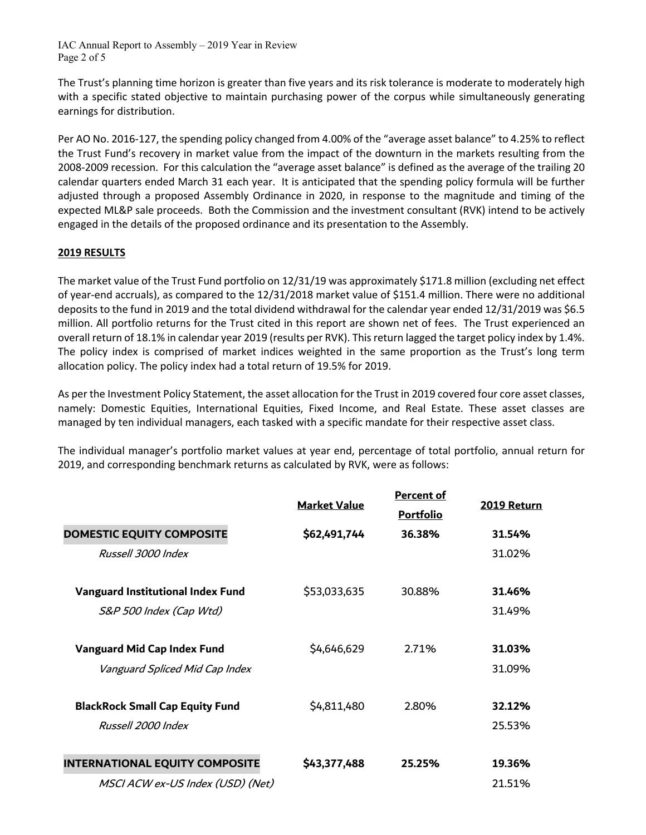IAC Annual Report to Assembly – 2019 Year in Review Page 2 of 5

The Trust's planning time horizon is greater than five years and its risk tolerance is moderate to moderately high with a specific stated objective to maintain purchasing power of the corpus while simultaneously generating earnings for distribution.

Per AO No. 2016-127, the spending policy changed from 4.00% of the "average asset balance" to 4.25% to reflect the Trust Fund's recovery in market value from the impact of the downturn in the markets resulting from the 2008-2009 recession. For this calculation the "average asset balance" is defined as the average of the trailing 20 calendar quarters ended March 31 each year. It is anticipated that the spending policy formula will be further adjusted through a proposed Assembly Ordinance in 2020, in response to the magnitude and timing of the expected ML&P sale proceeds. Both the Commission and the investment consultant (RVK) intend to be actively engaged in the details of the proposed ordinance and its presentation to the Assembly.

# **2019 RESULTS**

The market value of the Trust Fund portfolio on 12/31/19 was approximately \$171.8 million (excluding net effect of year-end accruals), as compared to the 12/31/2018 market value of \$151.4 million. There were no additional deposits to the fund in 2019 and the total dividend withdrawal for the calendar year ended 12/31/2019 was \$6.5 million. All portfolio returns for the Trust cited in this report are shown net of fees. The Trust experienced an overall return of 18.1% in calendar year 2019 (results per RVK). This return lagged the target policy index by 1.4%. The policy index is comprised of market indices weighted in the same proportion as the Trust's long term allocation policy. The policy index had a total return of 19.5% for 2019.

As per the Investment Policy Statement, the asset allocation for the Trust in 2019 covered four core asset classes, namely: Domestic Equities, International Equities, Fixed Income, and Real Estate. These asset classes are managed by ten individual managers, each tasked with a specific mandate for their respective asset class.

The individual manager's portfolio market values at year end, percentage of total portfolio, annual return for 2019, and corresponding benchmark returns as calculated by RVK, were as follows:

|                                          | <b>Market Value</b> | <b>Percent of</b><br><b>Portfolio</b> | 2019 Return |
|------------------------------------------|---------------------|---------------------------------------|-------------|
| DOMESTIC EQUITY COMPOSITE                | \$62,491,744        | 36.38%                                | 31.54%      |
| Russell 3000 Index                       |                     |                                       | 31.02%      |
| <b>Vanguard Institutional Index Fund</b> | \$53,033,635        | 30.88%                                | 31.46%      |
| S&P 500 Index (Cap Wtd)                  |                     |                                       | 31.49%      |
| <b>Vanguard Mid Cap Index Fund</b>       | \$4,646,629         | 2.71%                                 | 31.03%      |
| Vanguard Spliced Mid Cap Index           |                     |                                       | 31.09%      |
| <b>BlackRock Small Cap Equity Fund</b>   | \$4,811,480         | 2.80%                                 | 32.12%      |
| Russell 2000 Index                       |                     |                                       | 25.53%      |
| <b>INTERNATIONAL EQUITY COMPOSITE</b>    | \$43,377,488        | 25.25%                                | 19.36%      |
| MSCI ACW ex-US Index (USD) (Net)         |                     |                                       | 21.51%      |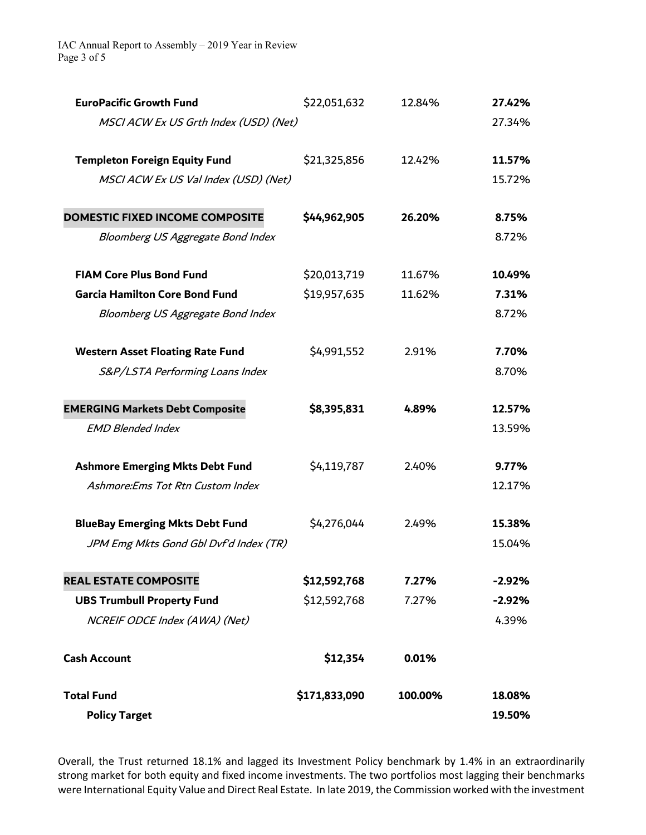IAC Annual Report to Assembly – 2019 Year in Review Page 3 of 5

| <b>EuroPacific Growth Fund</b>          | \$22,051,632  | 12.84%  | 27.42%   |
|-----------------------------------------|---------------|---------|----------|
| MSCI ACW Ex US Grth Index (USD) (Net)   |               |         | 27.34%   |
| <b>Templeton Foreign Equity Fund</b>    | \$21,325,856  | 12.42%  | 11.57%   |
| MSCI ACW Ex US Val Index (USD) (Net)    |               |         | 15.72%   |
| DOMESTIC FIXED INCOME COMPOSITE         | \$44,962,905  | 26.20%  | 8.75%    |
| Bloomberg US Aggregate Bond Index       |               |         | 8.72%    |
| <b>FIAM Core Plus Bond Fund</b>         | \$20,013,719  | 11.67%  | 10.49%   |
| <b>Garcia Hamilton Core Bond Fund</b>   | \$19,957,635  | 11.62%  | 7.31%    |
| Bloomberg US Aggregate Bond Index       |               |         | 8.72%    |
| <b>Western Asset Floating Rate Fund</b> | \$4,991,552   | 2.91%   | 7.70%    |
| S&P/LSTA Performing Loans Index         |               |         | 8.70%    |
| <b>EMERGING Markets Debt Composite</b>  | \$8,395,831   | 4.89%   | 12.57%   |
| <b>EMD Blended Index</b>                |               |         | 13.59%   |
| <b>Ashmore Emerging Mkts Debt Fund</b>  | \$4,119,787   | 2.40%   | 9.77%    |
| Ashmore:Ems Tot Rtn Custom Index        |               |         | 12.17%   |
| <b>BlueBay Emerging Mkts Debt Fund</b>  | \$4,276,044   | 2.49%   | 15.38%   |
| JPM Emg Mkts Gond Gbl Dvf'd Index (TR)  |               |         | 15.04%   |
| <b>REAL ESTATE COMPOSITE</b>            | \$12,592,768  | 7.27%   | $-2.92%$ |
| <b>UBS Trumbull Property Fund</b>       | \$12,592,768  | 7.27%   | $-2.92%$ |
| NCREIF ODCE Index (AWA) (Net)           |               |         | 4.39%    |
| <b>Cash Account</b>                     | \$12,354      | 0.01%   |          |
| <b>Total Fund</b>                       | \$171,833,090 | 100.00% | 18.08%   |
| <b>Policy Target</b>                    |               |         | 19.50%   |

Overall, the Trust returned 18.1% and lagged its Investment Policy benchmark by 1.4% in an extraordinarily strong market for both equity and fixed income investments. The two portfolios most lagging their benchmarks were International Equity Value and Direct Real Estate. In late 2019, the Commission worked with the investment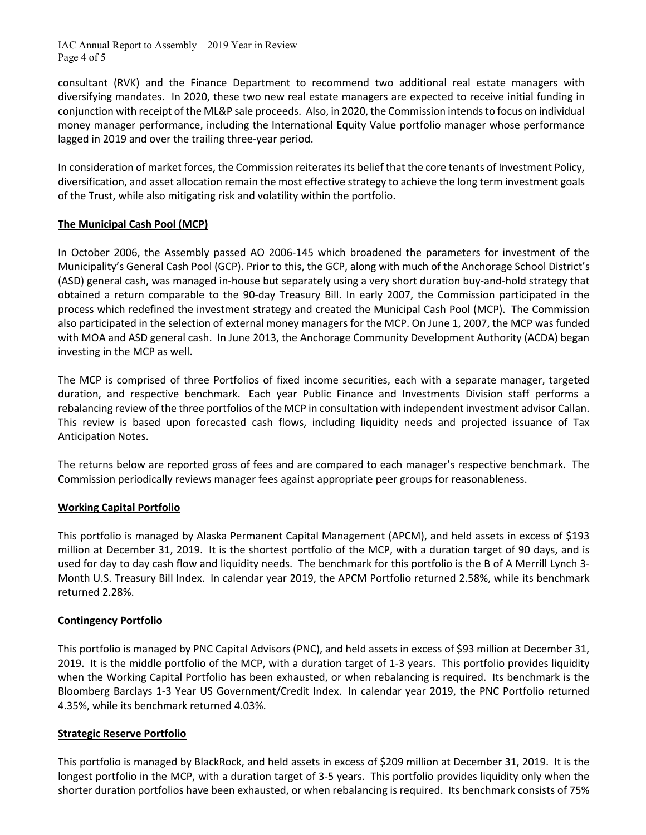IAC Annual Report to Assembly – 2019 Year in Review Page 4 of 5

consultant (RVK) and the Finance Department to recommend two additional real estate managers with diversifying mandates. In 2020, these two new real estate managers are expected to receive initial funding in conjunction with receipt of the ML&P sale proceeds. Also, in 2020, the Commission intendsto focus on individual money manager performance, including the International Equity Value portfolio manager whose performance lagged in 2019 and over the trailing three-year period.

In consideration of market forces, the Commission reiterates its belief that the core tenants of Investment Policy, diversification, and asset allocation remain the most effective strategy to achieve the long term investment goals of the Trust, while also mitigating risk and volatility within the portfolio.

# **The Municipal Cash Pool (MCP)**

In October 2006, the Assembly passed AO 2006-145 which broadened the parameters for investment of the Municipality's General Cash Pool (GCP). Prior to this, the GCP, along with much of the Anchorage School District's (ASD) general cash, was managed in-house but separately using a very short duration buy-and-hold strategy that obtained a return comparable to the 90-day Treasury Bill. In early 2007, the Commission participated in the process which redefined the investment strategy and created the Municipal Cash Pool (MCP). The Commission also participated in the selection of external money managers for the MCP. On June 1, 2007, the MCP was funded with MOA and ASD general cash. In June 2013, the Anchorage Community Development Authority (ACDA) began investing in the MCP as well.

The MCP is comprised of three Portfolios of fixed income securities, each with a separate manager, targeted duration, and respective benchmark. Each year Public Finance and Investments Division staff performs a rebalancing review of the three portfolios of the MCP in consultation with independent investment advisor Callan. This review is based upon forecasted cash flows, including liquidity needs and projected issuance of Tax Anticipation Notes.

The returns below are reported gross of fees and are compared to each manager's respective benchmark. The Commission periodically reviews manager fees against appropriate peer groups for reasonableness.

# **Working Capital Portfolio**

This portfolio is managed by Alaska Permanent Capital Management (APCM), and held assets in excess of \$193 million at December 31, 2019. It is the shortest portfolio of the MCP, with a duration target of 90 days, and is used for day to day cash flow and liquidity needs. The benchmark for this portfolio is the B of A Merrill Lynch 3- Month U.S. Treasury Bill Index. In calendar year 2019, the APCM Portfolio returned 2.58%, while its benchmark returned 2.28%.

#### **Contingency Portfolio**

This portfolio is managed by PNC Capital Advisors (PNC), and held assets in excess of \$93 million at December 31, 2019. It is the middle portfolio of the MCP, with a duration target of 1-3 years. This portfolio provides liquidity when the Working Capital Portfolio has been exhausted, or when rebalancing is required. Its benchmark is the Bloomberg Barclays 1-3 Year US Government/Credit Index. In calendar year 2019, the PNC Portfolio returned 4.35%, while its benchmark returned 4.03%.

#### **Strategic Reserve Portfolio**

This portfolio is managed by BlackRock, and held assets in excess of \$209 million at December 31, 2019. It is the longest portfolio in the MCP, with a duration target of 3-5 years. This portfolio provides liquidity only when the shorter duration portfolios have been exhausted, or when rebalancing is required. Its benchmark consists of 75%